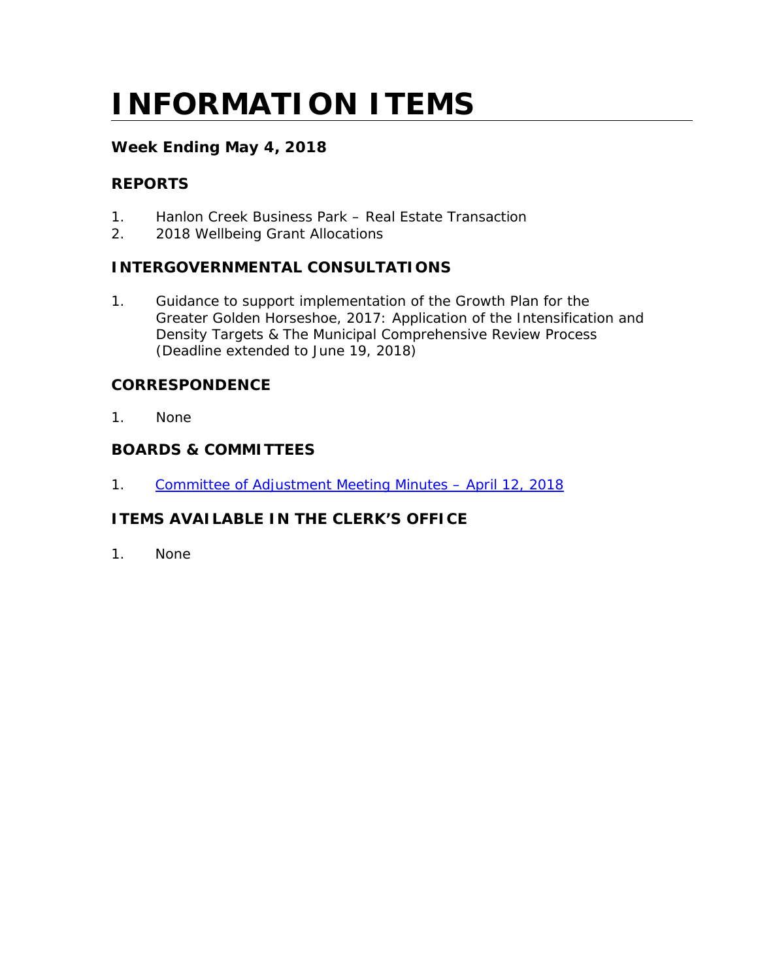# **INFORMATION ITEMS**

## **Week Ending May 4, 2018**

## **REPORTS**

- 1. Hanlon Creek Business Park Real Estate Transaction
- 2. 2018 Wellbeing Grant Allocations

## **INTERGOVERNMENTAL CONSULTATIONS**

1. Guidance to support implementation of the Growth Plan for the Greater Golden Horseshoe, 2017: Application of the Intensification and Density Targets & The Municipal Comprehensive Review Process (Deadline extended to June 19, 2018)

## **CORRESPONDENCE**

1. None

## **BOARDS & COMMITTEES**

1. Committee of Adjustment Meeting Minutes - April 12, 2018

## **ITEMS AVAILABLE IN THE CLERK'S OFFICE**

1. None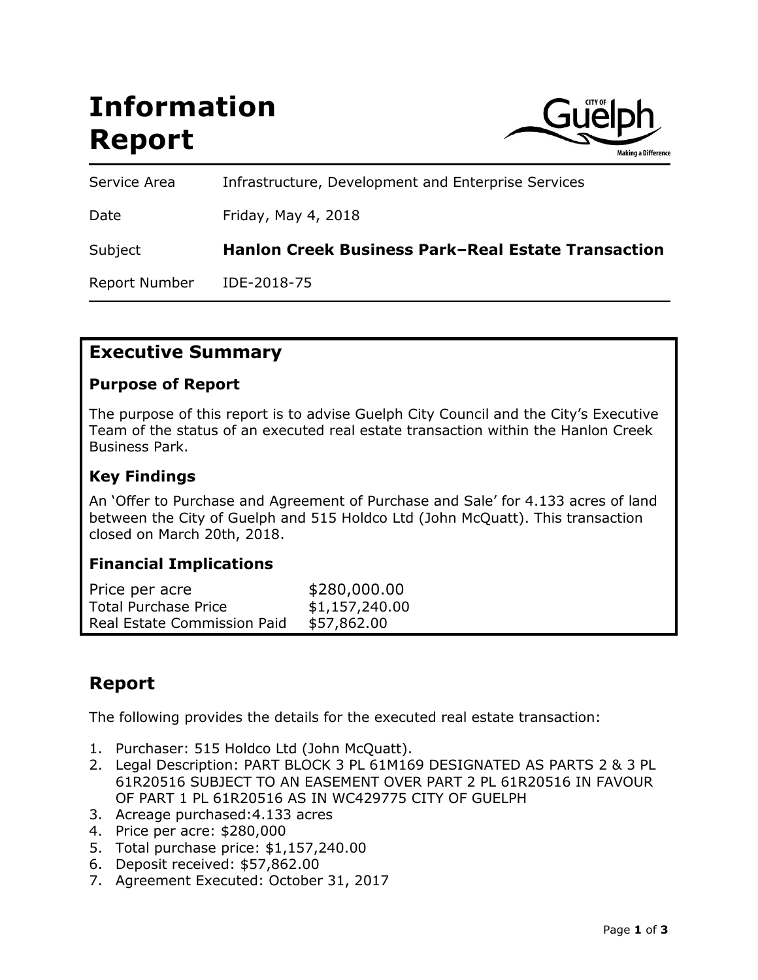# **Information Report**



Service Area Infrastructure, Development and Enterprise Services Date Friday, May 4, 2018 Subject **Hanlon Creek Business Park–Real Estate Transaction** Report Number IDE-2018-75

# **Executive Summary**

#### **Purpose of Report**

The purpose of this report is to advise Guelph City Council and the City's Executive Team of the status of an executed real estate transaction within the Hanlon Creek Business Park.

#### **Key Findings**

An 'Offer to Purchase and Agreement of Purchase and Sale' for 4.133 acres of land between the City of Guelph and 515 Holdco Ltd (John McQuatt). This transaction closed on March 20th, 2018.

### **Financial Implications**

| Price per acre              | \$280,000.00   |
|-----------------------------|----------------|
| <b>Total Purchase Price</b> | \$1,157,240.00 |
| Real Estate Commission Paid | \$57,862.00    |

# **Report**

The following provides the details for the executed real estate transaction:

- 1. Purchaser: 515 Holdco Ltd (John McQuatt).
- 2. Legal Description: PART BLOCK 3 PL 61M169 DESIGNATED AS PARTS 2 & 3 PL 61R20516 SUBJECT TO AN EASEMENT OVER PART 2 PL 61R20516 IN FAVOUR OF PART 1 PL 61R20516 AS IN WC429775 CITY OF GUELPH
- 3. Acreage purchased:4.133 acres
- 4. Price per acre: \$280,000
- 5. Total purchase price: \$1,157,240.00
- 6. Deposit received: \$57,862.00
- 7. Agreement Executed: October 31, 2017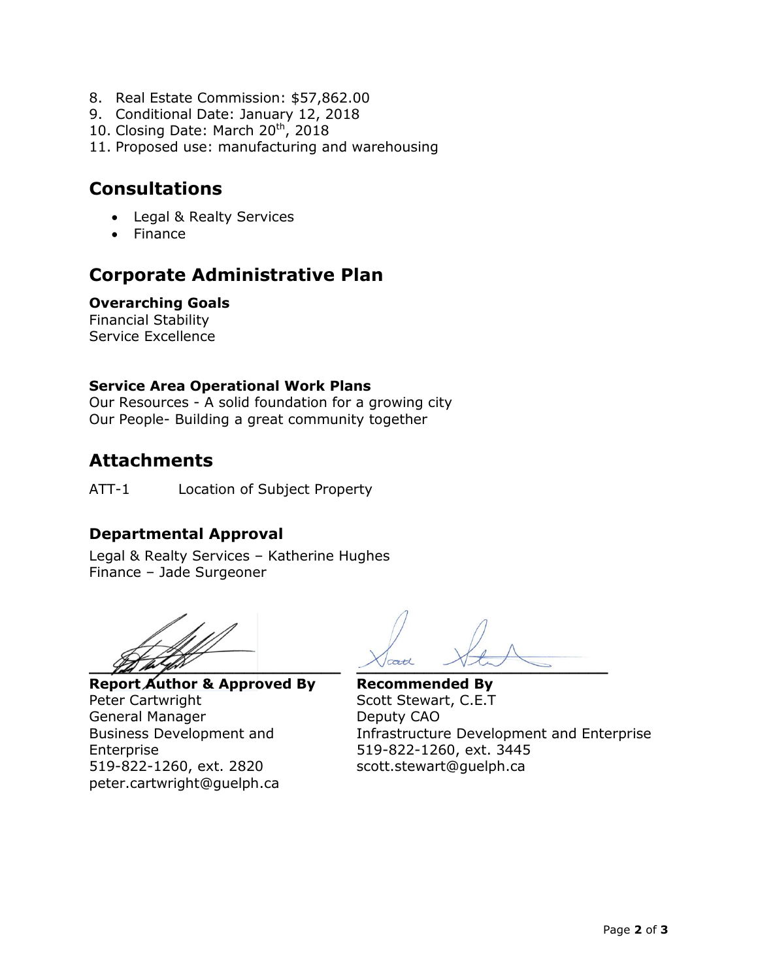- 8. Real Estate Commission: \$57,862.00
- 9. Conditional Date: January 12, 2018
- 10. Closing Date: March 20<sup>th</sup>, 2018
- 11. Proposed use: manufacturing and warehousing

# **Consultations**

- Legal & Realty Services
- Finance

# **Corporate Administrative Plan**

#### **Overarching Goals**

Financial Stability Service Excellence

#### **Service Area Operational Work Plans**

Our Resources - A solid foundation for a growing city Our People- Building a great community together

# **Attachments**

ATT-1 Location of Subject Property

## **Departmental Approval**

Legal & Realty Services – Katherine Hughes Finance – Jade Surgeoner

**Report Author & Approved By Recommended By** Peter Cartwright **Scott Stewart, C.E.T** General Manager Deputy CAO Enterprise 519-822-1260, ext. 3445 519-822-1260, ext. 2820 scott.stewart@guelph.ca peter.cartwright@guelph.ca

**Let the first the second contract the second contract of the second contract of the second contract of the second contract of the second contract of the second contract of the second contract of the second contract of the** 

Business Development and Infrastructure Development and Enterprise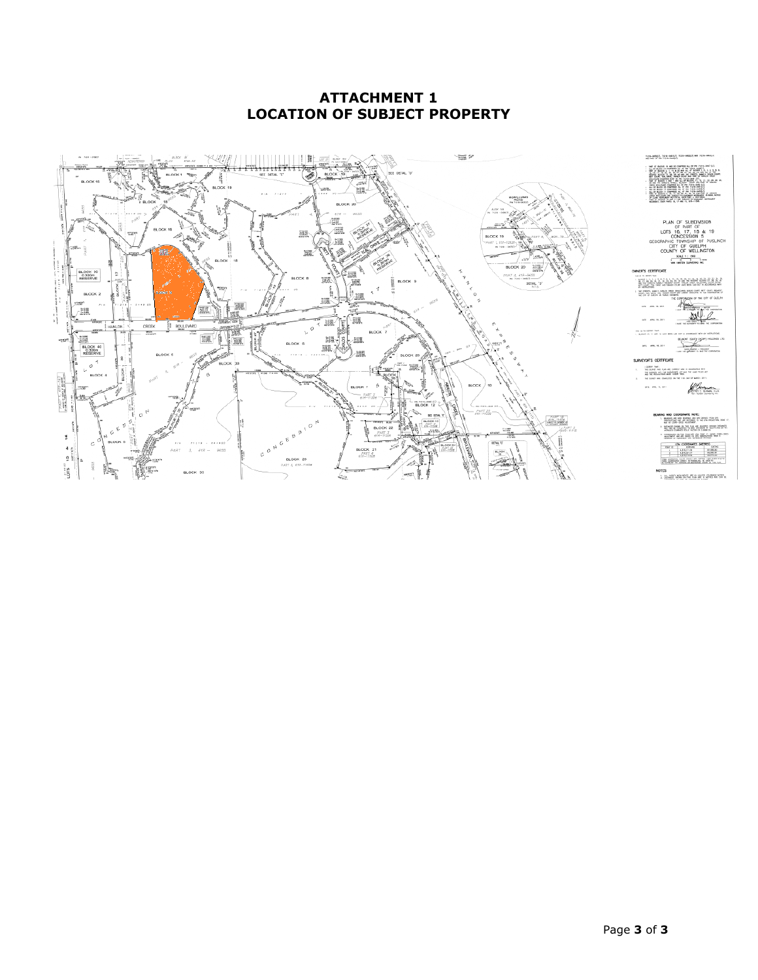#### **ATTACHMENT 1 LOCATION OF SUBJECT PROPERTY**

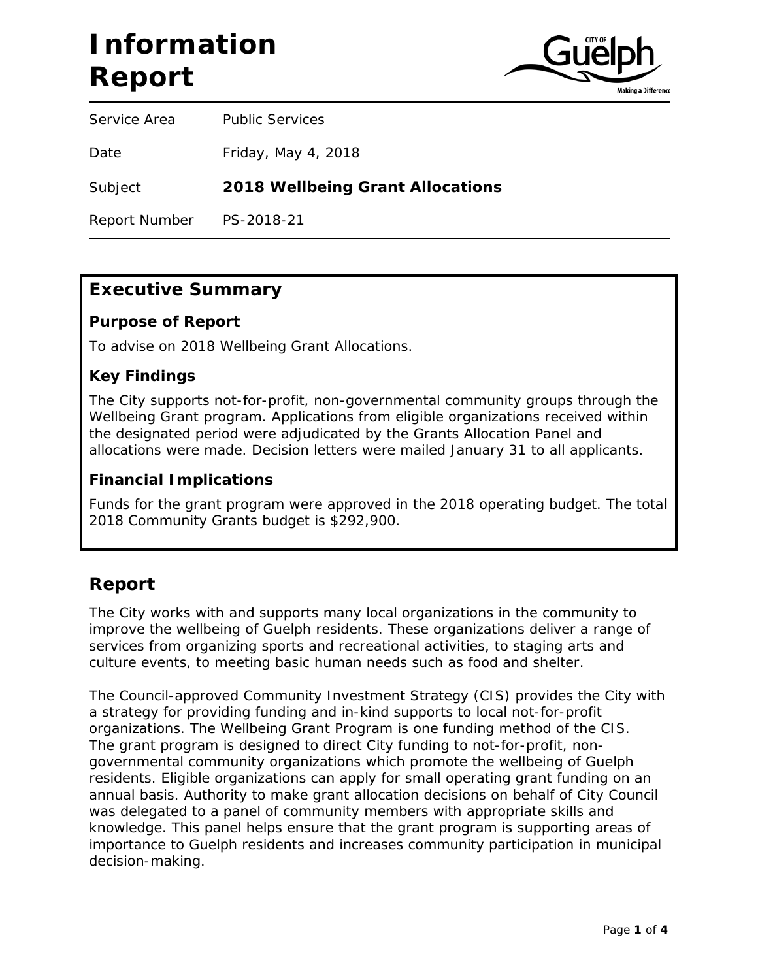# **Information Report**



Service Area Public Services

Date Friday, May 4, 2018

Subject **2018 Wellbeing Grant Allocations**

Report Number PS-2018-21

# **Executive Summary**

#### **Purpose of Report**

To advise on 2018 Wellbeing Grant Allocations.

#### **Key Findings**

The City supports not-for-profit, non-governmental community groups through the Wellbeing Grant program. Applications from eligible organizations received within the designated period were adjudicated by the Grants Allocation Panel and allocations were made. Decision letters were mailed January 31 to all applicants.

#### **Financial Implications**

Funds for the grant program were approved in the 2018 operating budget. The total 2018 Community Grants budget is \$292,900.

# **Report**

The City works with and supports many local organizations in the community to improve the wellbeing of Guelph residents. These organizations deliver a range of services from organizing sports and recreational activities, to staging arts and culture events, to meeting basic human needs such as food and shelter.

The Council-approved Community Investment Strategy (CIS) provides the City with a strategy for providing funding and in-kind supports to local not-for-profit organizations. The Wellbeing Grant Program is one funding method of the CIS. The grant program is designed to direct City funding to not-for-profit, nongovernmental community organizations which promote the wellbeing of Guelph residents. Eligible organizations can apply for small operating grant funding on an annual basis. Authority to make grant allocation decisions on behalf of City Council was delegated to a panel of community members with appropriate skills and knowledge. This panel helps ensure that the grant program is supporting areas of importance to Guelph residents and increases community participation in municipal decision-making.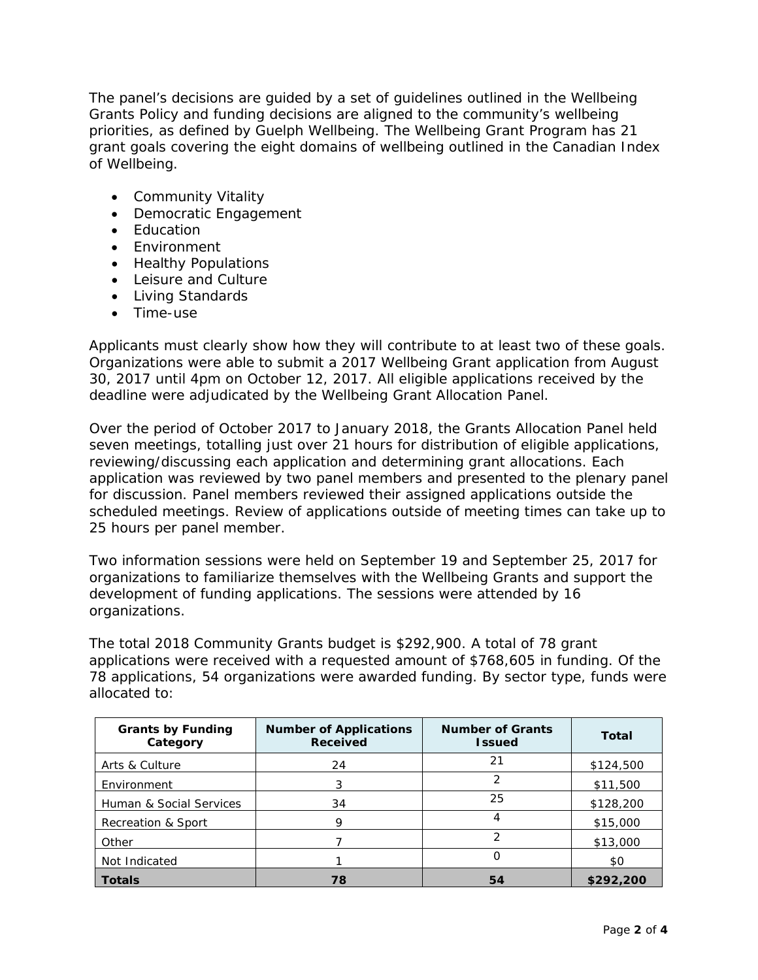The panel's decisions are guided by a set of guidelines outlined in the Wellbeing Grants Policy and funding decisions are aligned to the community's wellbeing priorities, as defined by Guelph Wellbeing. The Wellbeing Grant Program has 21 grant goals covering the eight domains of wellbeing outlined in the Canadian Index of Wellbeing.

- Community Vitality
- Democratic Engagement
- Education
- Environment
- Healthy Populations
- Leisure and Culture
- Living Standards
- Time-use

Applicants must clearly show how they will contribute to at least two of these goals. Organizations were able to submit a 2017 Wellbeing Grant application from August 30, 2017 until 4pm on October 12, 2017. All eligible applications received by the deadline were adjudicated by the Wellbeing Grant Allocation Panel.

Over the period of October 2017 to January 2018, the Grants Allocation Panel held seven meetings, totalling just over 21 hours for distribution of eligible applications, reviewing/discussing each application and determining grant allocations. Each application was reviewed by two panel members and presented to the plenary panel for discussion. Panel members reviewed their assigned applications outside the scheduled meetings. Review of applications outside of meeting times can take up to 25 hours per panel member.

Two information sessions were held on September 19 and September 25, 2017 for organizations to familiarize themselves with the Wellbeing Grants and support the development of funding applications. The sessions were attended by 16 organizations.

The total 2018 Community Grants budget is \$292,900. A total of 78 grant applications were received with a requested amount of \$768,605 in funding. Of the 78 applications, 54 organizations were awarded funding. By sector type, funds were allocated to:

| <b>Grants by Funding</b><br>Category | <b>Number of Applications</b><br><b>Received</b> | <b>Number of Grants</b><br><b>Issued</b> | Total     |
|--------------------------------------|--------------------------------------------------|------------------------------------------|-----------|
| Arts & Culture                       | 24                                               | 21                                       | \$124,500 |
| Environment                          | 3                                                | 2                                        | \$11,500  |
| Human & Social Services              | 34                                               | 25                                       | \$128,200 |
| Recreation & Sport                   | 9                                                |                                          | \$15,000  |
| Other                                |                                                  | າ                                        | \$13,000  |
| Not Indicated                        |                                                  |                                          | \$0       |
| <b>Totals</b>                        | 78                                               | 54                                       | \$292,200 |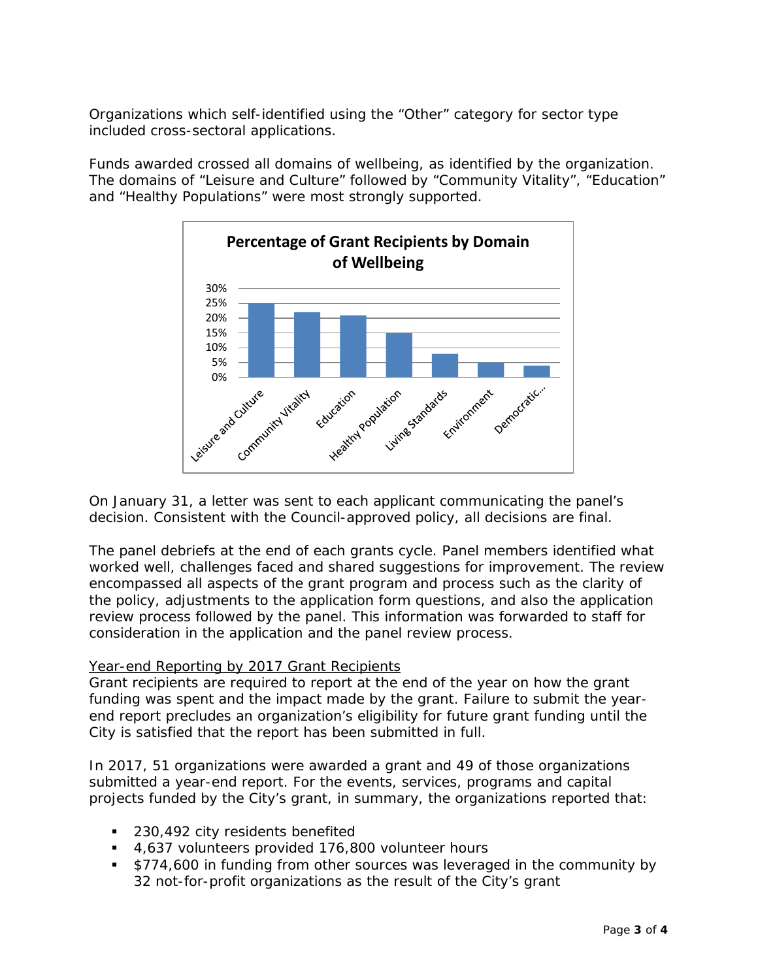Organizations which self-identified using the "Other" category for sector type included cross-sectoral applications.

Funds awarded crossed all domains of wellbeing, as identified by the organization. The domains of "Leisure and Culture" followed by "Community Vitality", "Education" and "Healthy Populations" were most strongly supported.



On January 31, a letter was sent to each applicant communicating the panel's decision. Consistent with the Council-approved policy, all decisions are final.

The panel debriefs at the end of each grants cycle. Panel members identified what worked well, challenges faced and shared suggestions for improvement. The review encompassed all aspects of the grant program and process such as the clarity of the policy, adjustments to the application form questions, and also the application review process followed by the panel. This information was forwarded to staff for consideration in the application and the panel review process.

#### Year-end Reporting by 2017 Grant Recipients

Grant recipients are required to report at the end of the year on how the grant funding was spent and the impact made by the grant. Failure to submit the yearend report precludes an organization's eligibility for future grant funding until the City is satisfied that the report has been submitted in full.

In 2017, 51 organizations were awarded a grant and 49 of those organizations submitted a year-end report. For the events, services, programs and capital projects funded by the City's grant, in summary, the organizations reported that:

- **230,492 city residents benefited**
- 4,637 volunteers provided 176,800 volunteer hours
- **S774,600 in funding from other sources was leveraged in the community by** 32 not-for-profit organizations as the result of the City's grant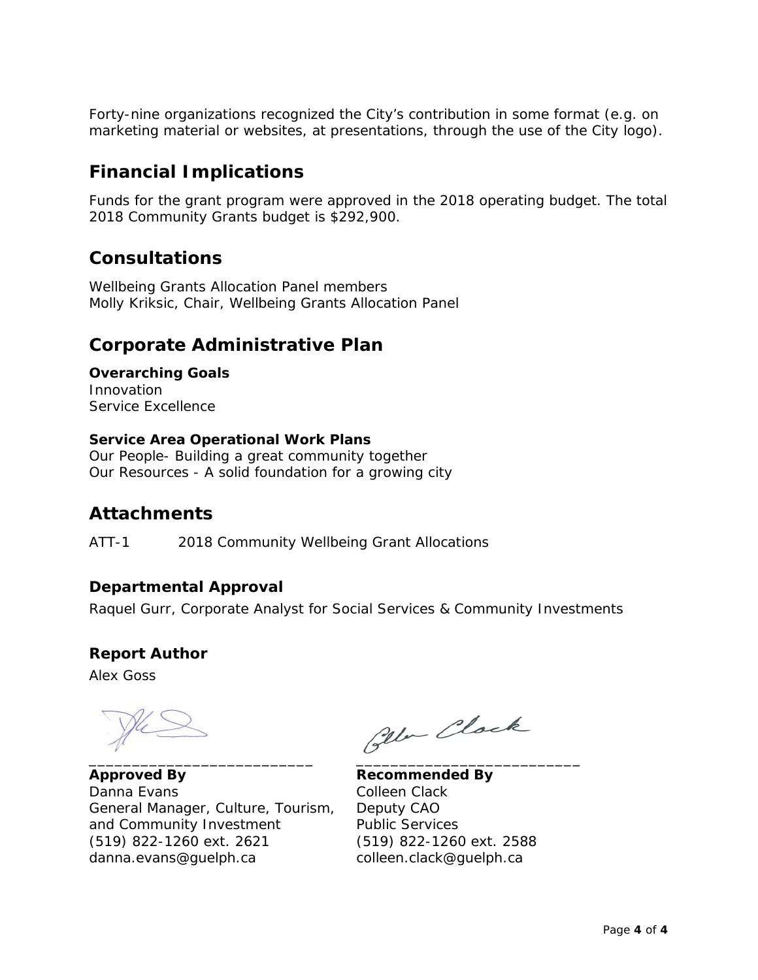Forty-nine organizations recognized the City's contribution in some format (e.g. on marketing material or websites, at presentations, through the use of the City logo).

# **Financial Implications**

Funds for the grant program were approved in the 2018 operating budget. The total 2018 Community Grants budget is \$292,900.

# **Consultations**

Wellbeing Grants Allocation Panel members Molly Kriksic, Chair, Wellbeing Grants Allocation Panel

# **Corporate Administrative Plan**

**Overarching Goals** Innovation Service Excellence

#### **Service Area Operational Work Plans**

Our People- Building a great community together Our Resources - A solid foundation for a growing city

# **Attachments**

ATT-1 2018 Community Wellbeing Grant Allocations

### **Departmental Approval**

Raquel Gurr, Corporate Analyst for Social Services & Community Investments

### **Report Author**

Alex Goss

\_\_\_\_\_\_\_\_\_\_\_\_\_\_\_\_\_\_\_\_\_\_\_\_\_\_ \_\_\_\_\_\_\_\_\_\_\_\_\_\_\_\_\_\_\_\_\_\_\_\_\_\_

**Approved By Recommended By** Danna Evans Colleen Clack General Manager, Culture, Tourism, Deputy CAO and Community Investment Public Services (519) 822-1260 ext. 2621 (519) 822-1260 ext. 2588 danna.evans@guelph.ca colleen.clack@guelph.ca

Ola Clock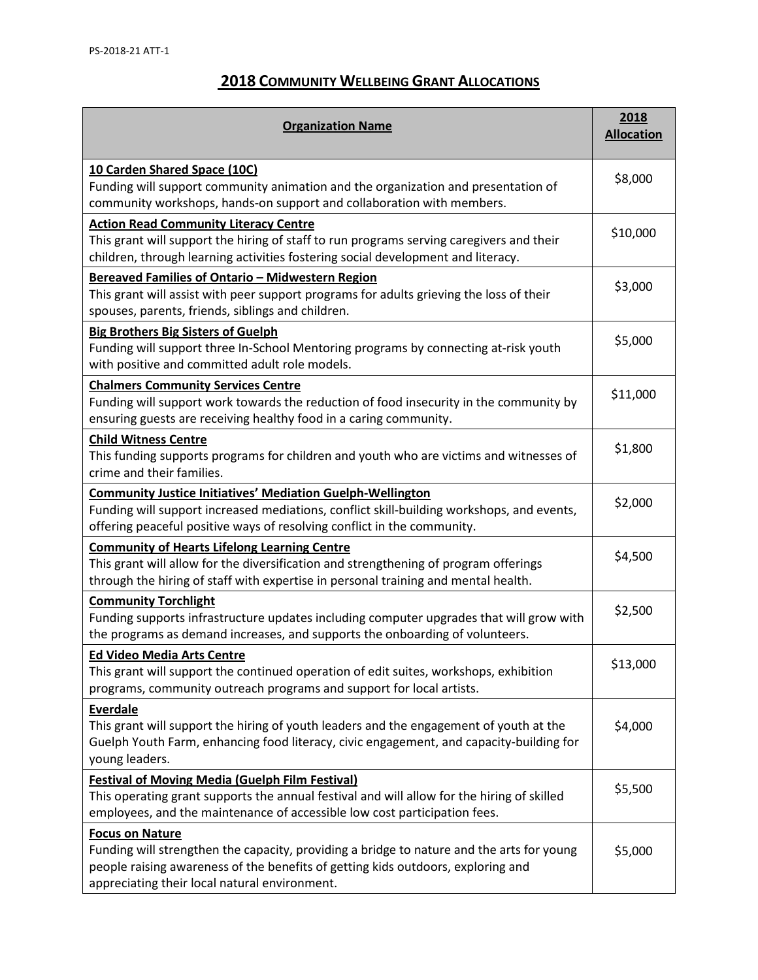## **2018 COMMUNITY WELLBEING GRANT ALLOCATIONS**

| <b>Organization Name</b>                                                                                                                                                                                                                                 |          |  |  |  |
|----------------------------------------------------------------------------------------------------------------------------------------------------------------------------------------------------------------------------------------------------------|----------|--|--|--|
| 10 Carden Shared Space (10C)<br>Funding will support community animation and the organization and presentation of<br>community workshops, hands-on support and collaboration with members.                                                               | \$8,000  |  |  |  |
| <b>Action Read Community Literacy Centre</b><br>This grant will support the hiring of staff to run programs serving caregivers and their<br>children, through learning activities fostering social development and literacy.                             | \$10,000 |  |  |  |
| Bereaved Families of Ontario - Midwestern Region<br>This grant will assist with peer support programs for adults grieving the loss of their<br>spouses, parents, friends, siblings and children.                                                         | \$3,000  |  |  |  |
| <b>Big Brothers Big Sisters of Guelph</b><br>Funding will support three In-School Mentoring programs by connecting at-risk youth<br>with positive and committed adult role models.                                                                       | \$5,000  |  |  |  |
| <b>Chalmers Community Services Centre</b><br>Funding will support work towards the reduction of food insecurity in the community by<br>ensuring guests are receiving healthy food in a caring community.                                                 | \$11,000 |  |  |  |
| <b>Child Witness Centre</b><br>This funding supports programs for children and youth who are victims and witnesses of<br>crime and their families.                                                                                                       | \$1,800  |  |  |  |
| <b>Community Justice Initiatives' Mediation Guelph-Wellington</b><br>Funding will support increased mediations, conflict skill-building workshops, and events,<br>offering peaceful positive ways of resolving conflict in the community.                | \$2,000  |  |  |  |
| <b>Community of Hearts Lifelong Learning Centre</b><br>This grant will allow for the diversification and strengthening of program offerings<br>through the hiring of staff with expertise in personal training and mental health.                        | \$4,500  |  |  |  |
| <b>Community Torchlight</b><br>Funding supports infrastructure updates including computer upgrades that will grow with<br>the programs as demand increases, and supports the onboarding of volunteers.                                                   | \$2,500  |  |  |  |
| <b>Ed Video Media Arts Centre</b><br>This grant will support the continued operation of edit suites, workshops, exhibition<br>programs, community outreach programs and support for local artists.                                                       | \$13,000 |  |  |  |
| Everdale<br>This grant will support the hiring of youth leaders and the engagement of youth at the<br>Guelph Youth Farm, enhancing food literacy, civic engagement, and capacity-building for<br>young leaders.                                          | \$4,000  |  |  |  |
| <b>Festival of Moving Media (Guelph Film Festival)</b><br>This operating grant supports the annual festival and will allow for the hiring of skilled<br>employees, and the maintenance of accessible low cost participation fees.                        | \$5,500  |  |  |  |
| <b>Focus on Nature</b><br>Funding will strengthen the capacity, providing a bridge to nature and the arts for young<br>people raising awareness of the benefits of getting kids outdoors, exploring and<br>appreciating their local natural environment. | \$5,000  |  |  |  |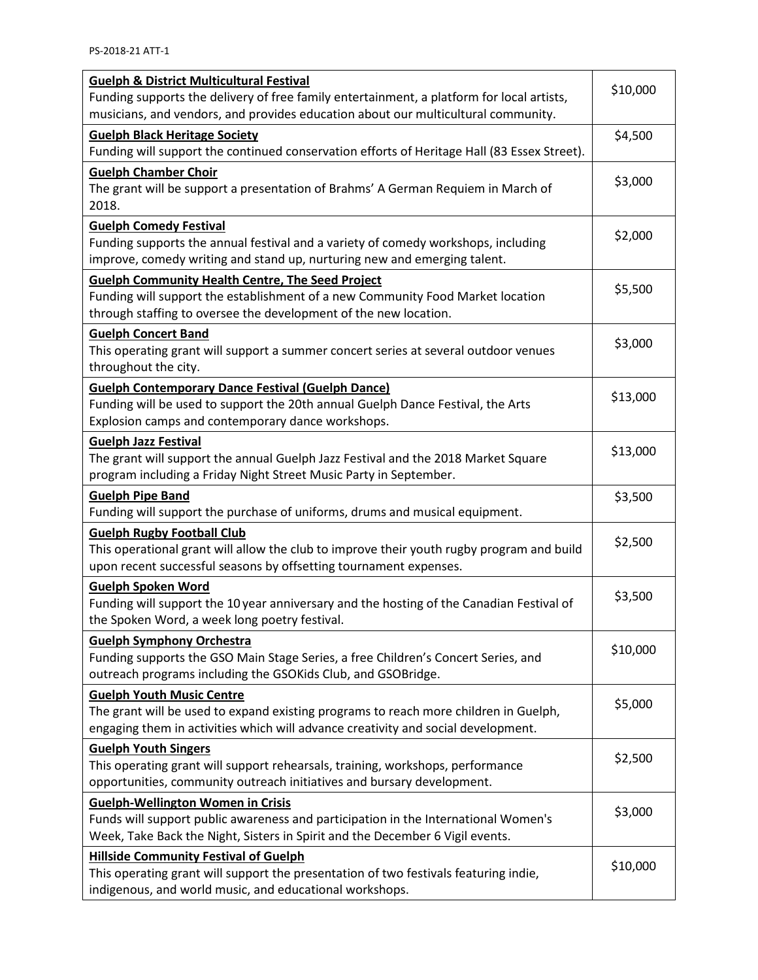| <b>Guelph &amp; District Multicultural Festival</b>                                                                                                                 |          |  |  |  |  |
|---------------------------------------------------------------------------------------------------------------------------------------------------------------------|----------|--|--|--|--|
| Funding supports the delivery of free family entertainment, a platform for local artists,                                                                           |          |  |  |  |  |
| musicians, and vendors, and provides education about our multicultural community.                                                                                   |          |  |  |  |  |
| <b>Guelph Black Heritage Society</b><br>Funding will support the continued conservation efforts of Heritage Hall (83 Essex Street).                                 |          |  |  |  |  |
| <b>Guelph Chamber Choir</b>                                                                                                                                         |          |  |  |  |  |
| The grant will be support a presentation of Brahms' A German Requiem in March of                                                                                    | \$3,000  |  |  |  |  |
| 2018.                                                                                                                                                               |          |  |  |  |  |
| <b>Guelph Comedy Festival</b>                                                                                                                                       |          |  |  |  |  |
| Funding supports the annual festival and a variety of comedy workshops, including                                                                                   | \$2,000  |  |  |  |  |
| improve, comedy writing and stand up, nurturing new and emerging talent.                                                                                            |          |  |  |  |  |
| <b>Guelph Community Health Centre, The Seed Project</b>                                                                                                             |          |  |  |  |  |
| Funding will support the establishment of a new Community Food Market location                                                                                      | \$5,500  |  |  |  |  |
| through staffing to oversee the development of the new location.                                                                                                    |          |  |  |  |  |
| <b>Guelph Concert Band</b>                                                                                                                                          |          |  |  |  |  |
| This operating grant will support a summer concert series at several outdoor venues                                                                                 | \$3,000  |  |  |  |  |
| throughout the city.                                                                                                                                                |          |  |  |  |  |
| <b>Guelph Contemporary Dance Festival (Guelph Dance)</b>                                                                                                            | \$13,000 |  |  |  |  |
| Funding will be used to support the 20th annual Guelph Dance Festival, the Arts                                                                                     |          |  |  |  |  |
| Explosion camps and contemporary dance workshops.                                                                                                                   |          |  |  |  |  |
| <b>Guelph Jazz Festival</b>                                                                                                                                         | \$13,000 |  |  |  |  |
| The grant will support the annual Guelph Jazz Festival and the 2018 Market Square                                                                                   |          |  |  |  |  |
| program including a Friday Night Street Music Party in September.                                                                                                   |          |  |  |  |  |
| <b>Guelph Pipe Band</b>                                                                                                                                             | \$3,500  |  |  |  |  |
| Funding will support the purchase of uniforms, drums and musical equipment.                                                                                         |          |  |  |  |  |
| <b>Guelph Rugby Football Club</b>                                                                                                                                   | \$2,500  |  |  |  |  |
| This operational grant will allow the club to improve their youth rugby program and build                                                                           |          |  |  |  |  |
| upon recent successful seasons by offsetting tournament expenses.                                                                                                   |          |  |  |  |  |
| <b>Guelph Spoken Word</b>                                                                                                                                           | \$3,500  |  |  |  |  |
| Funding will support the 10 year anniversary and the hosting of the Canadian Festival of                                                                            |          |  |  |  |  |
| the Spoken Word, a week long poetry festival.                                                                                                                       |          |  |  |  |  |
| <b>Guelph Symphony Orchestra</b>                                                                                                                                    | \$10,000 |  |  |  |  |
| Funding supports the GSO Main Stage Series, a free Children's Concert Series, and<br>outreach programs including the GSOKids Club, and GSOBridge.                   |          |  |  |  |  |
|                                                                                                                                                                     |          |  |  |  |  |
| <b>Guelph Youth Music Centre</b>                                                                                                                                    |          |  |  |  |  |
|                                                                                                                                                                     | \$5,000  |  |  |  |  |
| The grant will be used to expand existing programs to reach more children in Guelph,                                                                                |          |  |  |  |  |
| engaging them in activities which will advance creativity and social development.                                                                                   |          |  |  |  |  |
| <b>Guelph Youth Singers</b>                                                                                                                                         | \$2,500  |  |  |  |  |
| This operating grant will support rehearsals, training, workshops, performance                                                                                      |          |  |  |  |  |
| opportunities, community outreach initiatives and bursary development.                                                                                              |          |  |  |  |  |
| <b>Guelph-Wellington Women in Crisis</b>                                                                                                                            | \$3,000  |  |  |  |  |
| Funds will support public awareness and participation in the International Women's<br>Week, Take Back the Night, Sisters in Spirit and the December 6 Vigil events. |          |  |  |  |  |
|                                                                                                                                                                     |          |  |  |  |  |
| <b>Hillside Community Festival of Guelph</b><br>This operating grant will support the presentation of two festivals featuring indie,                                | \$10,000 |  |  |  |  |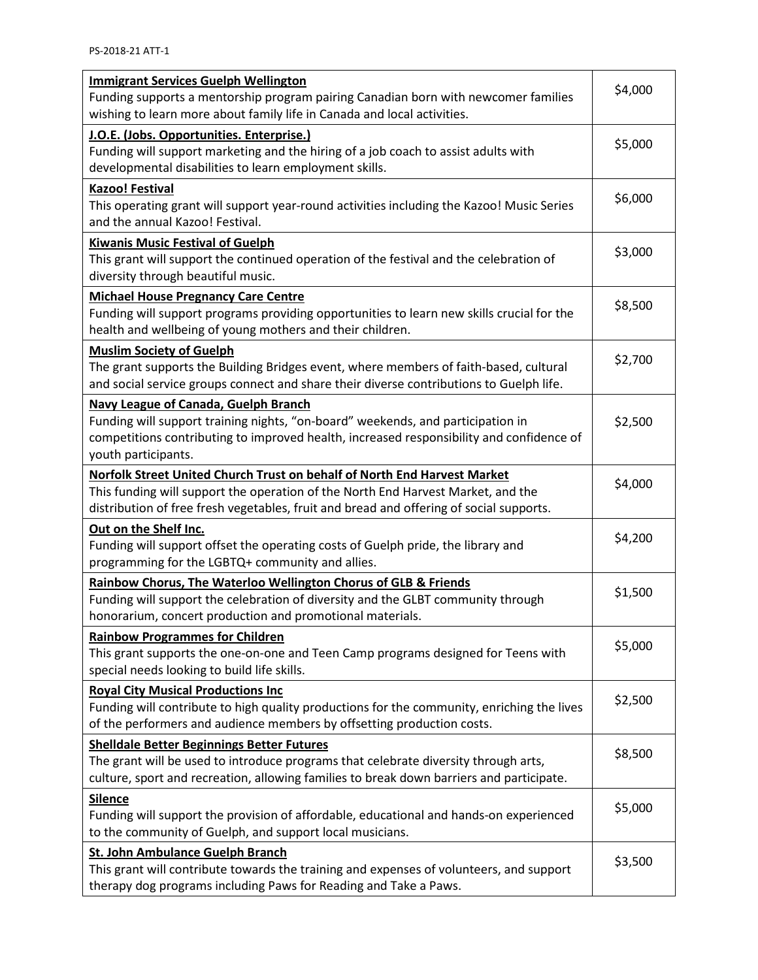| <b>Immigrant Services Guelph Wellington</b><br>Funding supports a mentorship program pairing Canadian born with newcomer families<br>wishing to learn more about family life in Canada and local activities.                                            |         |  |  |  |
|---------------------------------------------------------------------------------------------------------------------------------------------------------------------------------------------------------------------------------------------------------|---------|--|--|--|
| J.O.E. (Jobs. Opportunities. Enterprise.)<br>Funding will support marketing and the hiring of a job coach to assist adults with<br>developmental disabilities to learn employment skills.                                                               | \$5,000 |  |  |  |
| <b>Kazoo! Festival</b><br>This operating grant will support year-round activities including the Kazoo! Music Series<br>and the annual Kazoo! Festival.                                                                                                  | \$6,000 |  |  |  |
| <b>Kiwanis Music Festival of Guelph</b><br>This grant will support the continued operation of the festival and the celebration of<br>diversity through beautiful music.                                                                                 | \$3,000 |  |  |  |
| <b>Michael House Pregnancy Care Centre</b><br>Funding will support programs providing opportunities to learn new skills crucial for the<br>health and wellbeing of young mothers and their children.                                                    | \$8,500 |  |  |  |
| <b>Muslim Society of Guelph</b><br>The grant supports the Building Bridges event, where members of faith-based, cultural<br>and social service groups connect and share their diverse contributions to Guelph life.                                     | \$2,700 |  |  |  |
| <b>Navy League of Canada, Guelph Branch</b><br>Funding will support training nights, "on-board" weekends, and participation in<br>competitions contributing to improved health, increased responsibility and confidence of<br>youth participants.       | \$2,500 |  |  |  |
| Norfolk Street United Church Trust on behalf of North End Harvest Market<br>This funding will support the operation of the North End Harvest Market, and the<br>distribution of free fresh vegetables, fruit and bread and offering of social supports. | \$4,000 |  |  |  |
| Out on the Shelf Inc.<br>Funding will support offset the operating costs of Guelph pride, the library and<br>programming for the LGBTQ+ community and allies.                                                                                           | \$4,200 |  |  |  |
| Rainbow Chorus, The Waterloo Wellington Chorus of GLB & Friends<br>Funding will support the celebration of diversity and the GLBT community through<br>honorarium, concert production and promotional materials.                                        | \$1,500 |  |  |  |
| <b>Rainbow Programmes for Children</b><br>This grant supports the one-on-one and Teen Camp programs designed for Teens with<br>special needs looking to build life skills.                                                                              | \$5,000 |  |  |  |
| <b>Royal City Musical Productions Inc</b><br>Funding will contribute to high quality productions for the community, enriching the lives<br>of the performers and audience members by offsetting production costs.                                       | \$2,500 |  |  |  |
| <b>Shelldale Better Beginnings Better Futures</b><br>The grant will be used to introduce programs that celebrate diversity through arts,<br>culture, sport and recreation, allowing families to break down barriers and participate.                    | \$8,500 |  |  |  |
| <b>Silence</b><br>Funding will support the provision of affordable, educational and hands-on experienced<br>to the community of Guelph, and support local musicians.                                                                                    | \$5,000 |  |  |  |
| <b>St. John Ambulance Guelph Branch</b><br>This grant will contribute towards the training and expenses of volunteers, and support<br>therapy dog programs including Paws for Reading and Take a Paws.                                                  | \$3,500 |  |  |  |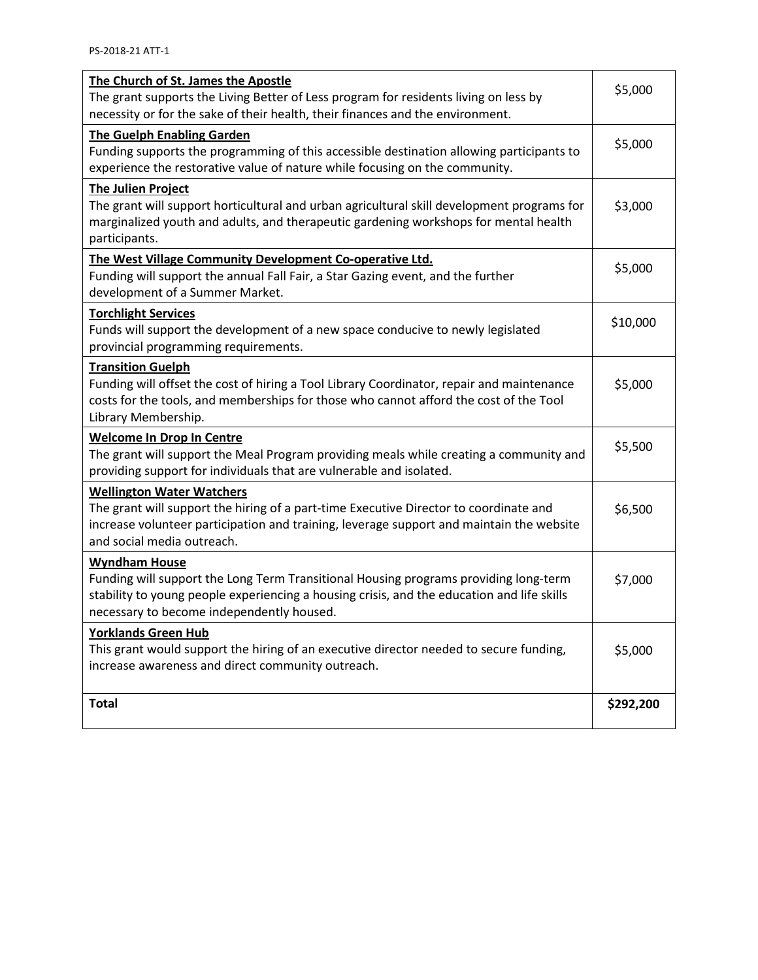| The Church of St. James the Apostle<br>The grant supports the Living Better of Less program for residents living on less by<br>necessity or for the sake of their health, their finances and the environment.                                           | \$5,000   |
|---------------------------------------------------------------------------------------------------------------------------------------------------------------------------------------------------------------------------------------------------------|-----------|
| <b>The Guelph Enabling Garden</b><br>Funding supports the programming of this accessible destination allowing participants to<br>experience the restorative value of nature while focusing on the community.                                            | \$5,000   |
| <b>The Julien Project</b><br>The grant will support horticultural and urban agricultural skill development programs for<br>marginalized youth and adults, and therapeutic gardening workshops for mental health<br>participants.                        | \$3,000   |
| The West Village Community Development Co-operative Ltd.<br>Funding will support the annual Fall Fair, a Star Gazing event, and the further<br>development of a Summer Market.                                                                          | \$5,000   |
| <b>Torchlight Services</b><br>Funds will support the development of a new space conducive to newly legislated<br>provincial programming requirements.                                                                                                   | \$10,000  |
| <b>Transition Guelph</b><br>Funding will offset the cost of hiring a Tool Library Coordinator, repair and maintenance<br>costs for the tools, and memberships for those who cannot afford the cost of the Tool<br>Library Membership.                   | \$5,000   |
| <b>Welcome In Drop In Centre</b><br>The grant will support the Meal Program providing meals while creating a community and<br>providing support for individuals that are vulnerable and isolated.                                                       | \$5,500   |
| <b>Wellington Water Watchers</b><br>The grant will support the hiring of a part-time Executive Director to coordinate and<br>increase volunteer participation and training, leverage support and maintain the website<br>and social media outreach.     | \$6,500   |
| <b>Wyndham House</b><br>Funding will support the Long Term Transitional Housing programs providing long-term<br>stability to young people experiencing a housing crisis, and the education and life skills<br>necessary to become independently housed. | \$7,000   |
| <b>Yorklands Green Hub</b><br>This grant would support the hiring of an executive director needed to secure funding,<br>increase awareness and direct community outreach.                                                                               | \$5,000   |
| <b>Total</b>                                                                                                                                                                                                                                            | \$292,200 |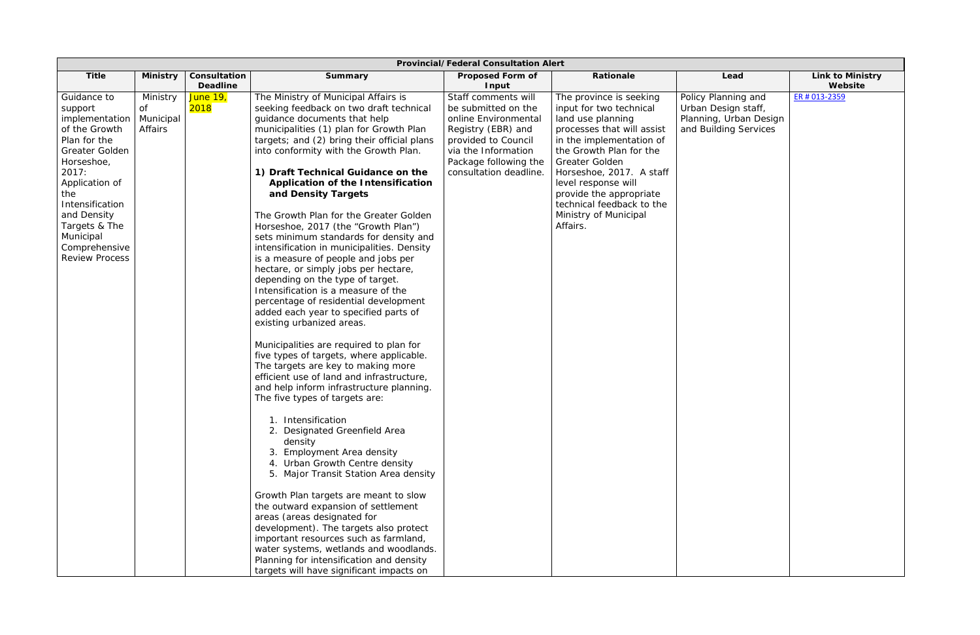| <b>Provincial/Federal Consultation Alert</b>                                                                                                                                                                                                              |                                        |                                 |                                                                                                                                                                                                                                                                                                                                                                                                                                                                                                                                                                                                                                                                                                                                                                                                                                                                                                                                                                                                                                                                                                                                                                                                                                                                                                                                                                                                                                                                                                                                                                                |                                                                                                                                                                                           |                                                                                                                                                                                                                                                                                                                                |                                                                                               |                                    |
|-----------------------------------------------------------------------------------------------------------------------------------------------------------------------------------------------------------------------------------------------------------|----------------------------------------|---------------------------------|--------------------------------------------------------------------------------------------------------------------------------------------------------------------------------------------------------------------------------------------------------------------------------------------------------------------------------------------------------------------------------------------------------------------------------------------------------------------------------------------------------------------------------------------------------------------------------------------------------------------------------------------------------------------------------------------------------------------------------------------------------------------------------------------------------------------------------------------------------------------------------------------------------------------------------------------------------------------------------------------------------------------------------------------------------------------------------------------------------------------------------------------------------------------------------------------------------------------------------------------------------------------------------------------------------------------------------------------------------------------------------------------------------------------------------------------------------------------------------------------------------------------------------------------------------------------------------|-------------------------------------------------------------------------------------------------------------------------------------------------------------------------------------------|--------------------------------------------------------------------------------------------------------------------------------------------------------------------------------------------------------------------------------------------------------------------------------------------------------------------------------|-----------------------------------------------------------------------------------------------|------------------------------------|
| <b>Title</b>                                                                                                                                                                                                                                              | <b>Ministry</b>                        | Consultation<br><b>Deadline</b> | Summary                                                                                                                                                                                                                                                                                                                                                                                                                                                                                                                                                                                                                                                                                                                                                                                                                                                                                                                                                                                                                                                                                                                                                                                                                                                                                                                                                                                                                                                                                                                                                                        | <b>Proposed Form of</b><br>Input                                                                                                                                                          | Rationale                                                                                                                                                                                                                                                                                                                      | Lead                                                                                          | <b>Link to Ministry</b><br>Website |
| Guidance to<br>support<br>implementation $ $<br>of the Growth<br>Plan for the<br>Greater Golden<br>Horseshoe,<br>2017:<br>Application of<br>the<br>Intensification<br>and Density<br>Targets & The<br>Municipal<br>Comprehensive<br><b>Review Process</b> | Ministry<br>of<br>Municipal<br>Affairs | June 19,<br>2018                | The Ministry of Municipal Affairs is<br>seeking feedback on two draft technical<br>guidance documents that help<br>municipalities (1) plan for Growth Plan<br>targets; and (2) bring their official plans<br>into conformity with the Growth Plan.<br>1) Draft Technical Guidance on the<br>Application of the Intensification<br>and Density Targets<br>The Growth Plan for the Greater Golden<br>Horseshoe, 2017 (the "Growth Plan")<br>sets minimum standards for density and<br>intensification in municipalities. Density<br>is a measure of people and jobs per<br>hectare, or simply jobs per hectare,<br>depending on the type of target.<br>Intensification is a measure of the<br>percentage of residential development<br>added each year to specified parts of<br>existing urbanized areas.<br>Municipalities are required to plan for<br>five types of targets, where applicable.<br>The targets are key to making more<br>efficient use of land and infrastructure,<br>and help inform infrastructure planning.<br>The five types of targets are:<br>1. Intensification<br>2. Designated Greenfield Area<br>density<br>3. Employment Area density<br>4. Urban Growth Centre density<br>5. Major Transit Station Area density<br>Growth Plan targets are meant to slow<br>the outward expansion of settlement<br>areas (areas designated for<br>development). The targets also protect<br>important resources such as farmland,<br>water systems, wetlands and woodlands.<br>Planning for intensification and density<br>targets will have significant impacts on | Staff comments will<br>be submitted on the<br>online Environmental<br>Registry (EBR) and<br>provided to Council<br>via the Information<br>Package following the<br>consultation deadline. | The province is seeking<br>input for two technical<br>land use planning<br>processes that will assist<br>in the implementation of<br>the Growth Plan for the<br>Greater Golden<br>Horseshoe, 2017. A staff<br>level response will<br>provide the appropriate<br>technical feedback to the<br>Ministry of Municipal<br>Affairs. | Policy Planning and<br>Urban Design staff,<br>Planning, Urban Design<br>and Building Services | ER # 013-2359                      |